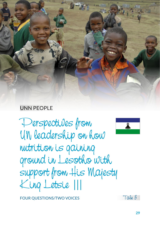

# UNN PEOPLE

Perspectives from UN leadership on how nutrition is gaining ground in Lesotho with support from His Majesty King Letsie |||



FOUR QUESTIONS/TWO VOICES

Tale 3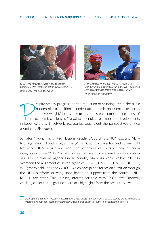

*Salvator Niyonzima, United Nations Resident Coordinator for Lesotho in action, December 2019* UN House/Thabiso Ntoanyane



*Mary Njoroge, WFP Country Director and former UNN Chair standing with recipient of a WFP-supported cash-based transfer programme, October 2019* WFP/Kathleen McCarthy

Experience of malnutrition – undernutrition, micronutrient deficiencies<br>and overweight/obesity – remains persistent, compounding a host of<br>occial and economic challenges <sup>9</sup> To gain a fuller picture of nutrition developmen burden of malnutrition — undernutrition, micronutrient deficiencies and overweight/obesity — remains persistent, compounding a host of social and economic challenges.<sup>9</sup> To gain a fuller picture of nutrition developments in Lesotho, the UN Network Secretariat sought out the perspectives of two prominent UN figures.

Salvator Niyonzima, United Nations Resident Coordinator (UNRC), and Mary Njoroge, World Food Programme (WFP) Country Director and former UN Network (UNN) Chair, are front-line advocates of cross-sectoral nutrition integration. Since 2017, Salvator's role has been to oversee the coordination of all United Nations agencies in the country. Mary has worn two hats. She has overseen the alignment of seven agencies — FAO, UNAIDS, UNFPA, UNICEF, WFP, the World Bank and WHO — which have joined forces on nutrition through the UNN platform, drawing upon hands-on support from the neutral UNN-REACH facilitator. This, in turn, informs her role as WFP Country Director, working closer to the ground. Here are highlights from the two interviews.

<sup>9</sup> Development Initiatives Poverty Research Ltd. 2019. *Global Nutrition Report; Lesotho country profile.* Available at https://globalnutritionreport.org/resources/nutrition-profiles/africa/southern-africa/lesotho/#profile.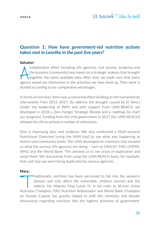# **Question 1:** *How have government-led nutrition actions taken root in Lesotho in the past five years?*

### **Salvator:**

collaborative effort including UN agencies, civil society, academia and the business [community] was based on a strategic analysis that brought together the latest available data. After that, we made sure that every agency collaborative effort including UN agencies, civil society, academia and the business [community] was based on a strategic analysis that brought together the latest available data. After that, we made sure that every divided according to our comparative advantages.

In terms of nutrition, there was a concerted effort building on the humanitarian intervention from 2015–2017, [to address the drought caused by El Nino.] Under the leadership of WFP, and with support from UNN-REACH, we developed in 2018 a Zero Hunger Strategic Review and a roadmap [to chart our progress]. Funding from the Irish government in 2017 [for UNN-REACH] allowed the UN to achieve a number of milestones.

One is improving data and evidence. We also conducted a [Multi-sectoral](https://www.unnetworkforsun.org/sites/default/files/2018-10/MNO Lesotho-Posted.pdf)  [Nutritional Overview](https://www.unnetworkforsun.org/sites/default/files/2018-10/MNO Lesotho-Posted.pdf) [using the UNN tool] to see what was happening at district and community levels. The UNN developed an [inventory](https://www.unnetworkforsun.org/tools/un-nutrition-inventory) that showed us what the various UN agencies are doing – such as UNICEF, FAO, UNFPA, WHO and the World Bank. This allowed us to see areas of duplication and avoid them. We discovered from using the UNN-REACH tools, for example, that cash top-ups were being duplicated by various agencies.

### **Mary:**

Traditionally, nutrition has been perceived to fall into the women's<br>domain and only affect the vulnerable, children, women and the<br>elderly. His Majesty King Letsie III, in his roles as African Union<br>Nutrition Champion FAO domain and only affect the vulnerable, children, women and the elderly. His Majesty King Letsie III, in his roles as African Union Nutrition Champion, FAO Nutrition Ambassador and World Bank Champion on Human Capital, has greatly helped to shift this mentality and elevate discussions regarding nutrition into the highest echelons of government.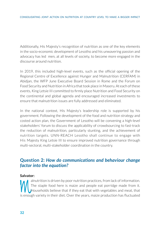Additionally, His Majesty's recognition of nutrition as one of the key elements in the socio-economic development of Lesotho and his unwavering passion and advocacy has led men, at all levels of society, to become more engaged in the discourse around nutrition.

In 2019, this included high-level events, such as the official opening of the Regional Centre of Excellence against Hunger and Malnutrition (CERFAM) in Abidjan, the WFP June Executive Board Session in Rome and the Forum on Food Security and Nutrition in Africa that took place in Maseru. At each of these events, King Letsie III committed to firmly place Nutrition and Food Security on the continental and global agenda and encouraged increased investments to ensure that malnutrition issues are fully addressed and eliminated.

In the national context, His Majesty's leadership role is supported by his government. Following the development of the food and nutrition strategy and costed action plan, the Government of Lesotho will be convening a high-level stakeholders' forum to discuss the applicability of crowdsourcing to fast-track the reduction of malnutrition, particularly stunting, and the achievement of nutrition targets. UNN-REACH Lesotho shall continue to engage with His Majesty King Letsie III to ensure improved nutrition governance through multi-sectoral, multi-stakeholder coordination in the country.

### **Question 2:** *How do communications and behaviour change factor into the equation?*

### **Salvator:**

alnutrition is driven by poor nutrition practices, from lack of information.<br>The staple food here is maize and people eat porridge made from it.<br>Households believe that if they eat that with vegetables and meat, that<br>is en The staple food here is maize and people eat porridge made from it. Households believe that if they eat that with vegetables and meat, that is enough variety in their diet. Over the years, maize production has fluctuated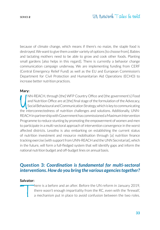because of climate change, which means if there's no maize, the staple food is destroyed. We want to give them a wider variety of options [to choose from]. Babies and lactating mothers need to be able to grow and cook other foods. Planting small gardens [also helps in this regard]. There is currently a behavior change communication campaign underway. We are implementing funding from CERF (Central Emergency Relief Fund) as well as the EU and European Commission's Department for Civil Protection and Humanitarian Aid Operations (ECHO) to increase better nutrition practices.

### **Mary:**

IM-REACH, through [the] WFP Country Office and [the government's] Food<br>and Nutrition Office are at [the] final stage of the formulation of the Advocacy,<br>Social Behavioural and Communication Strategy, which is key to commun NN-REACH, through [the] WFP Country Office and [the government's] Food and Nutrition Office are at [the] final stage of the formulation of the Advocacy, Social Behavioural and Communication Strategy, which is key to communicating REACH in partnership with Government has commissioned a Maximum Intervention Programme to reduce stunting by promoting the empowerment of women and men to participate in a multi-sectoral approach of intervention convergence in the worst affected districts. Lesotho is also embarking on establishing the current status of nutrition investment and resource mobilisation through [a] nutrition finance tracking exercise [with support from UNN-REACH and the UNN Secretariat], which in the future, will form a full-fledged system that will identify gaps and inform the national nutrition budget and off-budget lines on annual basis.

# **Question 3:** *Coordination is fundamental for multi-sectoral interventions. How do you bring the various agencies together?*

#### **Salvator:**

There is a before and an after. Before the UN reform in January 2019,<br>there wasn't enough impartiality from the RC, even with the 'firewall',<br>a mechanism put in place to avoid confusion between the two roles. there wasn't enough impartiality from the RC, even with the 'firewall', a mechanism put in place to avoid confusion between the two roles.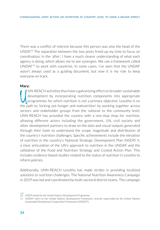There was a conflict of interest because this person was also the head of the UNDP.<sup>10</sup> The separation between the two posts freed up my time to focus on coordination. In the 'after', I have a much clearer understanding of what each agency is doing, which allows me to see synergies. We use a framework called UNDA $F<sup>11</sup>$  to work with countries. In some cases, I've seen that the UNDAF wasn't always used as a guiding document, but now it is my role to keep everyone on track.

#### **Mary:**

INN-REACH activities thus have a galvanizing effect on broader sustainable<br>development by incorporating nutrition components into appropriate<br>programmes for which nutrition is not a primary objective. Lesotho is on<br>the pat NN-REACH activities thus have a galvanizing effect on broader sustainable development by incorporating nutrition components into appropriate programmes for which nutrition is not a primary objective. Lesotho is on sectors and stakeholder groups from the national to the community level. UNN-REACH has provided the country with a one-stop shop for nutrition, allowing different actors including the government, UN, civil society and other development partners to draw on the data and visual outputs generated through their tools to understand the scope, magnitude and distribution of the country's nutrition challenges. Specific achievements include the elevation of nutrition in the country's National Strategic Development Plan (NSDP) II, a clear articulation of the UN's approach to nutrition in the UNDAF and the validation of the Food and Nutrition Strategy and Costed Action Plan. This includes evidence-based studies related to the status of nutrition in Lesotho to inform policies.

Additionally, UNN-REACH Lesotho has made strides in providing localized solutions to nutrition challenges. The National Nutrition Awareness Campaign in 2019 was led and coordinated by multi-sectoral district teams. The campaign

<sup>10</sup> UNDP stands for the United Nations Development Programme.

<sup>11</sup> UNDAF refers to the United Nations Development Framework, recently superceded by the United Nations Sustainable Development Cooperation Framework (UNSDCF).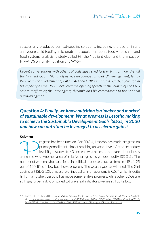successfully produced context-specific solutions, including: the use of infant and young child feeding; micronutrient supplementation; food value chain and food systems analysis; a study called Fill the Nutrient Gap; and the impact of HIV/AIDS on family nutrition and WASH.

*Recent conversations with other UN colleagues shed further light on how the Fill the Nutrient Gap (FNG) analysis was an avenue for joint UN engagement, led by WFP with the involvement of FAO, IFAD and UNICEF. It turns out that Salvator, in his capacity as the UNRC, delivered the opening speech at the launch of the FNG*  report, reaffirming the inter-agency dynamic and his commitment to the national *nutrition agenda.* 

# **Question 4:** *Finally, we know nutrition is a 'maker and marker' of sustainable development. What progress is Lesotho making to achieve the Sustainable Development Goals (SDGs) in 2030 and how can nutrition be leveraged to accelerate gains?*

#### **Salvator:**

rogress has been uneven. For SDG 4, Lesotho has made progress on primary enrollment, almost reaching universal levels. At the secondary level, it goes down to 43 percent, which means there are a lot of losses along the way. Another area of relative progress is gender equity [SDG 5]. The number of women who participate in political processes, such as female MPs, is 25 out of 120. It's still low but shows progress. The wealth gap has widened. The Gini coefficient [SDG 10], a measure of inequality in an economy is  $0.5<sup>12</sup>$  which is quite high. In a nutshell, Lesotho has made some relative progress, while other SDGs are still lagging behind. [Compared to] universal indicators, we are still quite low.

<sup>12</sup> Bureau of Statistics. 2019. *Lesotho Multiple Indicator Cluster Survey 2018, Survey Findings Report.* Maseru. Available at [https://mics-surveys-prod.s3.amazonaws.com/MICS6/Eastern%20and%20Southern%20Africa/Lesotho/2018/](https://mics-surveys-prod.s3.amazonaws.com/MICS6/Eastern%20and%20Southern%20Africa/Lesotho/2018/Survey%20findings/Lesotho%202018%20MICS%20Survey%20Findings%20Report_English.pdf) [Survey%20findings/Lesotho%202018%20MICS%20Survey%20Findings%20Report\\_English.pdf.](https://mics-surveys-prod.s3.amazonaws.com/MICS6/Eastern%20and%20Southern%20Africa/Lesotho/2018/Survey%20findings/Lesotho%202018%20MICS%20Survey%20Findings%20Report_English.pdf)